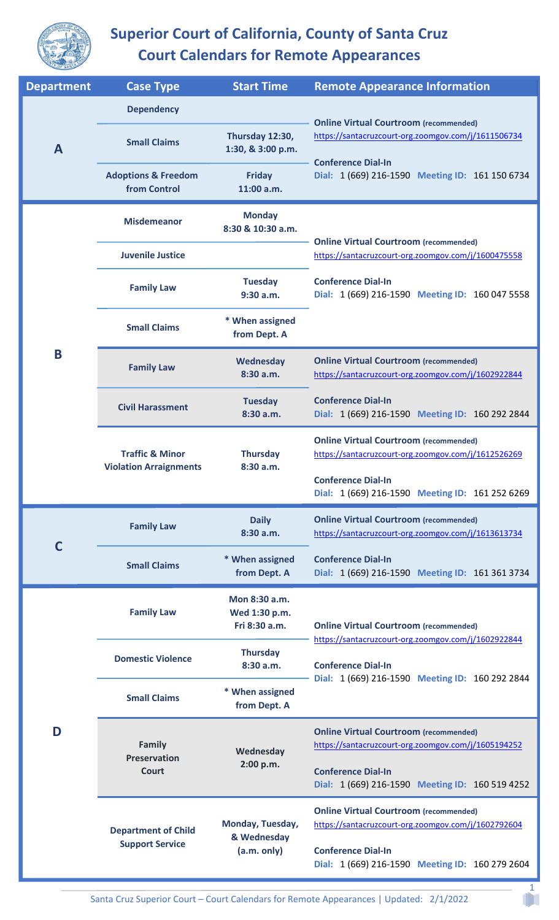

## **Superior Court of California, County of Santa Cruz Court Calendars for Remote Appearances**

| <b>Department</b> | <b>Case Type</b>                                                    | <b>Start Time</b>                               | <b>Remote Appearance Information</b>                                                                 |
|-------------------|---------------------------------------------------------------------|-------------------------------------------------|------------------------------------------------------------------------------------------------------|
| A                 | <b>Dependency</b>                                                   |                                                 |                                                                                                      |
|                   | <b>Small Claims</b>                                                 | Thursday 12:30,<br>1:30, & 3:00 p.m.            | <b>Online Virtual Courtroom (recommended)</b><br>https://santacruzcourt-org.zoomgov.com/j/1611506734 |
|                   | <b>Adoptions &amp; Freedom</b><br>from Control                      | <b>Friday</b><br>11:00 a.m.                     | <b>Conference Dial-In</b><br>Dial: 1 (669) 216-1590 Meeting ID: 161 150 6734                         |
| B                 | <b>Misdemeanor</b>                                                  | <b>Monday</b><br>8:30 & 10:30 a.m.              | <b>Online Virtual Courtroom (recommended)</b>                                                        |
|                   | <b>Juvenile Justice</b>                                             |                                                 | https://santacruzcourt-org.zoomgov.com/j/1600475558                                                  |
|                   | <b>Family Law</b>                                                   | <b>Tuesday</b><br>9:30 a.m.                     | <b>Conference Dial-In</b><br>Dial: 1 (669) 216-1590 Meeting ID: 160 047 5558                         |
|                   | <b>Small Claims</b>                                                 | * When assigned<br>from Dept. A                 |                                                                                                      |
|                   | <b>Family Law</b>                                                   | Wednesday<br>8:30 a.m.                          | <b>Online Virtual Courtroom (recommended)</b><br>https://santacruzcourt-org.zoomgov.com/j/1602922844 |
|                   | <b>Civil Harassment</b>                                             | <b>Tuesday</b><br>8:30 a.m.                     | <b>Conference Dial-In</b><br>Dial: 1 (669) 216-1590 Meeting ID: 160 292 2844                         |
|                   | <b>Traffic &amp; Minor</b><br><b>Violation Arraignments</b>         | <b>Thursday</b><br>8:30 a.m.                    | <b>Online Virtual Courtroom (recommended)</b><br>https://santacruzcourt-org.zoomgov.com/j/1612526269 |
|                   |                                                                     |                                                 | <b>Conference Dial-In</b><br>Dial: 1 (669) 216-1590 Meeting ID: 161 252 6269                         |
| C                 | <b>Family Law</b>                                                   | <b>Daily</b><br>8:30 a.m.                       | <b>Online Virtual Courtroom (recommended)</b><br>https://santacruzcourt-org.zoomgov.com/j/1613613734 |
|                   | <b>Small Claims</b>                                                 | * When assigned<br>from Dept. A                 | <b>Conference Dial-In</b><br>Dial: 1 (669) 216-1590 Meeting ID: 161 361 3734                         |
| D                 | <b>Family Law</b>                                                   | Mon 8:30 a.m.<br>Wed 1:30 p.m.<br>Fri 8:30 a.m. | <b>Online Virtual Courtroom (recommended)</b>                                                        |
|                   | <b>Domestic Violence</b>                                            | <b>Thursday</b><br>8:30 a.m.                    | https://santacruzcourt-org.zoomgov.com/j/1602922844<br><b>Conference Dial-In</b>                     |
|                   | <b>Small Claims</b>                                                 | * When assigned<br>from Dept. A                 | Dial: 1 (669) 216-1590 Meeting ID: 160 292 2844                                                      |
|                   | Family<br><b>Preservation</b><br>Court                              | Wednesday<br>2:00 p.m.                          | <b>Online Virtual Courtroom (recommended)</b><br>https://santacruzcourt-org.zoomgov.com/j/1605194252 |
|                   |                                                                     |                                                 | <b>Conference Dial-In</b><br>Dial: 1 (669) 216-1590 Meeting ID: 160 519 4252                         |
|                   | <b>Department of Child</b><br>& Wednesday<br><b>Support Service</b> | Monday, Tuesday,                                | <b>Online Virtual Courtroom (recommended)</b><br>https://santacruzcourt-org.zoomgov.com/j/1602792604 |
|                   |                                                                     | (a.m. only)                                     | <b>Conference Dial-In</b><br>Dial: 1 (669) 216-1590 Meeting ID: 160 279 2604                         |

1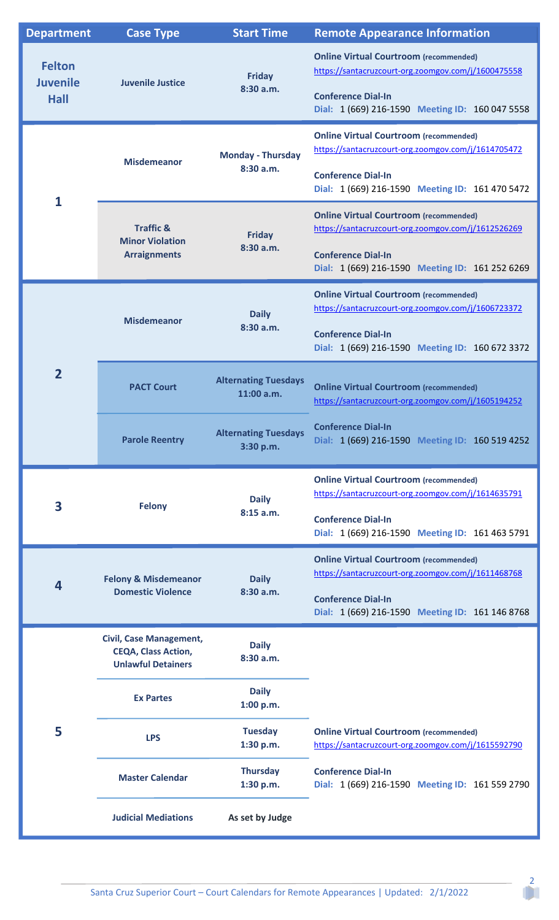| <b>Department</b>                               | <b>Case Type</b>                                                                          | <b>Start Time</b>                         | <b>Remote Appearance Information</b>                                                                                                                                                 |
|-------------------------------------------------|-------------------------------------------------------------------------------------------|-------------------------------------------|--------------------------------------------------------------------------------------------------------------------------------------------------------------------------------------|
| <b>Felton</b><br><b>Juvenile</b><br><b>Hall</b> | <b>Juvenile Justice</b>                                                                   | <b>Friday</b><br>8:30 a.m.                | <b>Online Virtual Courtroom (recommended)</b><br>https://santacruzcourt-org.zoomgov.com/j/1600475558<br><b>Conference Dial-In</b><br>Dial: 1 (669) 216-1590 Meeting ID: 160 047 5558 |
| 1                                               | <b>Misdemeanor</b>                                                                        | <b>Monday - Thursday</b><br>8:30 a.m.     | <b>Online Virtual Courtroom (recommended)</b><br>https://santacruzcourt-org.zoomgov.com/j/1614705472<br><b>Conference Dial-In</b><br>Dial: 1 (669) 216-1590 Meeting ID: 161 470 5472 |
|                                                 | <b>Traffic &amp;</b><br><b>Minor Violation</b><br><b>Arraignments</b>                     | <b>Friday</b><br>8:30a.m.                 | <b>Online Virtual Courtroom (recommended)</b><br>https://santacruzcourt-org.zoomgov.com/j/1612526269<br><b>Conference Dial-In</b><br>Dial: 1 (669) 216-1590 Meeting ID: 161 252 6269 |
|                                                 | <b>Misdemeanor</b>                                                                        | <b>Daily</b><br>8:30a.m.                  | <b>Online Virtual Courtroom (recommended)</b><br>https://santacruzcourt-org.zoomgov.com/j/1606723372<br><b>Conference Dial-In</b><br>Dial: 1 (669) 216-1590 Meeting ID: 160 672 3372 |
| $\overline{2}$                                  | <b>PACT Court</b>                                                                         | <b>Alternating Tuesdays</b><br>11:00 a.m. | <b>Online Virtual Courtroom (recommended)</b><br>https://santacruzcourt-org.zoomgov.com/j/1605194252                                                                                 |
|                                                 | <b>Parole Reentry</b>                                                                     | <b>Alternating Tuesdays</b><br>3:30 p.m.  | <b>Conference Dial-In</b><br>Dial: 1 (669) 216-1590 Meeting ID: 160 519 4252                                                                                                         |
| 3                                               | <b>Felony</b>                                                                             | <b>Daily</b><br>8:15 a.m.                 | <b>Online Virtual Courtroom (recommended)</b><br>https://santacruzcourt-org.zoomgov.com/j/1614635791<br><b>Conference Dial-In</b><br>Dial: 1 (669) 216-1590 Meeting ID: 161 463 5791 |
| $\overline{\mathbf{4}}$                         | <b>Felony &amp; Misdemeanor</b><br><b>Domestic Violence</b>                               | <b>Daily</b><br>8:30a.m.                  | <b>Online Virtual Courtroom (recommended)</b><br>https://santacruzcourt-org.zoomgov.com/j/1611468768<br><b>Conference Dial-In</b><br>Dial: 1 (669) 216-1590 Meeting ID: 161 146 8768 |
| 5                                               | <b>Civil, Case Management,</b><br><b>CEQA, Class Action,</b><br><b>Unlawful Detainers</b> | <b>Daily</b><br>8:30a.m.                  |                                                                                                                                                                                      |
|                                                 | <b>Ex Partes</b>                                                                          | <b>Daily</b><br>1:00 p.m.                 |                                                                                                                                                                                      |
|                                                 | <b>LPS</b>                                                                                | <b>Tuesday</b><br>1:30 p.m.               | <b>Online Virtual Courtroom (recommended)</b><br>https://santacruzcourt-org.zoomgov.com/j/1615592790                                                                                 |
|                                                 | <b>Master Calendar</b>                                                                    | <b>Thursday</b><br>1:30 p.m.              | <b>Conference Dial-In</b><br>Dial: 1 (669) 216-1590 Meeting ID: 161 559 2790                                                                                                         |
|                                                 | <b>Judicial Mediations</b>                                                                | As set by Judge                           |                                                                                                                                                                                      |